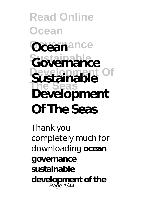# **Read Online Ocean Oceanance Sustainable Governance Development Of Sustainable The Seas Development Of The Seas**

Thank you completely much for downloading **ocean governance sustainable development of the** Page 1/44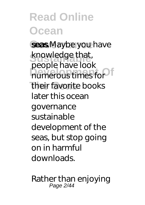seasMaybe you have knowledge that, **Development Of The Office Their favorite books** people have look later this ocean governance sustainable development of the seas, but stop going on in harmful downloads.

Rather than enjoying Page 2/44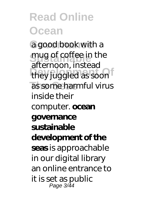a good book with a mug of coffee in the they juggled as soon as some harmful virus afternoon, instead inside their computer. **ocean governance sustainable development of the seas** is approachable in our digital library an online entrance to it is set as public Page 3/44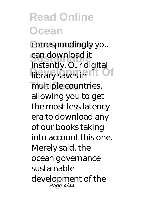correspondingly you can download it **Development Of** multiple countries, instantly. Our digital allowing you to get the most less latency era to download any of our books taking into account this one. Merely said, the ocean governance sustainable development of the Page 4/44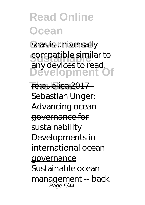seas is universally compatible similar to **Development Of** any devices to read.

re:publica 2017 -Sebastian Unger: Advancing ocean governance for sustainability Developments in international ocean governance Sustainable ocean management -- back Page 5/44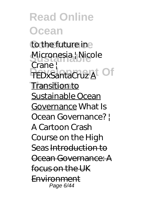#### **Read Online Ocean** to the future ine Micronesia | Nicole **TEDxSantaCruz At Of The Seas** Transition to Crane ! Sustainable Ocean Governance What Is Ocean Governance? | A Cartoon Crash Course on the High Seas Introduction to Ocean Governance: A focus on the UK Environment Page 6/44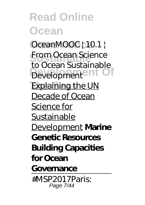**Read Online Ocean** OceanMOOC **| 10.1 From Ocean Science Development Of** Development **Explaining the UN** to Ocean Sustainable Decade of Ocean Science for **Sustainable** Development **Marine Genetic Resources Building Capacities for Ocean Governance** #MSP2017Paris: Page 7/44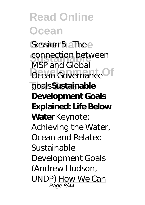**Read Online Ocean** Session 5 - The e connection between **Dean Governance The Seas** goals**Sustainable** MSP and Global **Development Goals Explained: Life Below Water** *Keynote: Achieving the Water, Ocean and Related Sustainable Development Goals (Andrew Hudson, UNDP)* How We Can Page 8/44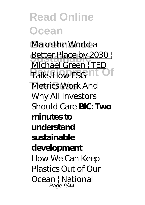**Read Online Ocean Make the World a Better Place by 2030 Talks** *How ESG* **Df** *Metrics Work And* Michael Green | TED *Why All Investors Should Care* **BIC: Two minutes to understand sustainable development** How We Can Keep Plastics Out of Our Ocean | National Page 9/44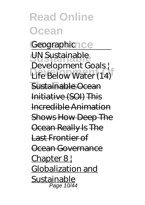Geographic<sup>n</sup>ce **Sustainable** UN Sustainable **Development Of** Life Below Water (14) **Sustainable Ocean** Development Goals | Initiative (SOI) This Incredible Animation Shows How Deep The Ocean Really Is The Last Frontier of Ocean Governance Chapter 8! Globalization and Sustainable Page 10/44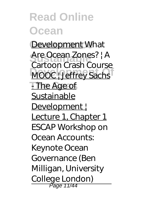**Read Online Ocean Development What Sustainable** Are Ocean Zones? | A **MOOC** | Jeffrey Sachs **The Seas** - The Age of Cartoon Crash Course **Sustainable** Development ! Lecture 1, Chapter 1 *ESCAP Workshop on Ocean Accounts: Keynote Ocean Governance (Ben Milligan, University College London)* Page 11/44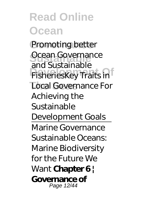Promoting better **Ocean Governance Development Of** Fisheries*Key Traits in* **The Seas** *Local Governance For* and Sustainable *Achieving the Sustainable Development Goals* Marine Governance *Sustainable Oceans: Marine Biodiversity for the Future We Want* **Chapter 6 | Governance of** Page 12/44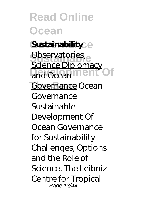**Read Online Ocean Sustainability Observatories** and Ocean **Ment** Of **Governance Ocean Science Diplomacy** Governance **Sustainable** Development Of Ocean Governance for Sustainability – Challenges, Options and the Role of Science. The Leibniz Centre for Tropical Page 13/44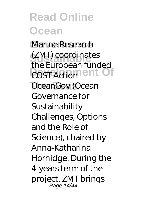Marine Research **Sustainable** (ZMT) coordinates **COST Action ent** Of **OceanGov** (Ocean the European funded Governance for Sustainability – Challenges, Options and the Role of Science), chaired by Anna-Katharina Hornidge. During the 4-years term of the project, ZMT brings Page 14/44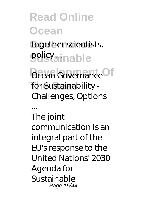#### together scientists, *<u>selistainable</u>*

**Ocean Governance The Seas** for Sustainability - Challenges, Options

... The joint communication is an integral part of the EU's response to the United Nations' 2030 Agenda for **Sustainable** Page 15/44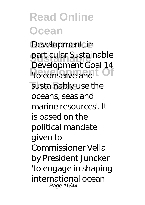Development, in **Sustainable** particular Sustainable **Development Of** 'to conserve and sustainably use the Development Goal 14 oceans, seas and marine resources'. It is based on the political mandate given to Commissioner Vella by President Juncker 'to engage in shaping international ocean Page 16/44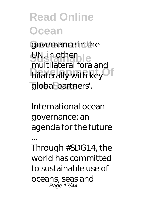#### **Read Online Ocean Governance** governance in the UN, in other <sub>ple</sub> **Development Of the Charles Of** global partners'. multilateral fora and<br>hilaterally later us.

International ocean governance: an agenda for the future

...

Through #SDG14, the world has committed to sustainable use of oceans, seas and Page 17/44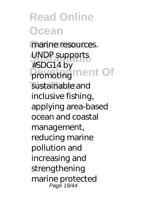**Read Online Ocean** marine resources. UNDP supports promoting ment Of sustainable and #SDG14 by inclusive fishing, applying area-based ocean and coastal management, reducing marine pollution and increasing and strengthening marine protected Page 18/44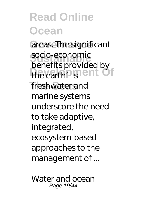**Read Online Ocean** areas. The significant **socio-economic The earth's grent Of The Seas** freshwater and benefits provided by marine systems underscore the need to take adaptive, integrated, ecosystem-based approaches to the management of ...

Water and ocean Page 19/44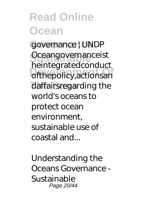**Governance** governance | UNDP Oceangovernanceist<br> **Seinterstedendus Development Of** ofthepolicy,actionsan daffairsregarding the heintegratedconduct world's oceans to protect ocean environment, sustainable use of coastal and...

Understanding the Oceans Governance - **Sustainable** Page 20/44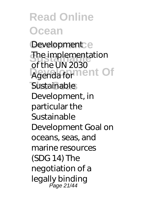#### **Read Online Ocean** Development:e The implementation **nent Of** Sustainable of the UN 2030 Agenda for Development, in particular the **Sustainable** Development Goal on oceans, seas, and marine resources (SDG 14) The negotiation of a legally binding Page 21/44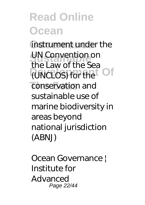instrument under the UN Convention on **UNCLOS)** for the **Of** conservation and the Law of the Sea sustainable use of marine biodiversity in areas beyond national jurisdiction (ABNJ)

Ocean Governance | Institute for Advanced Page 22/44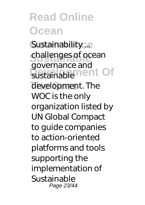**Sustainability** ... challenges of ocean sustainable<sup>ment</sup> Of development. The governance and WOC is the only organization listed by UN Global Compact to guide companies to action-oriented platforms and tools supporting the implementation of **Sustainable** Page 23/44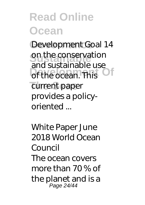Development Goal 14 on the conservation **Defthe ocean.** This current paper and sustainable use provides a policyoriented ...

White Paper June 2018 World Ocean Council The ocean covers more than 70% of the planet and is a Page 24/44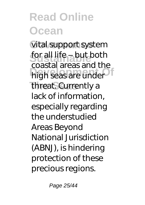vital support system for all life – but both **Deaster of Seas are under** threat. Currently a coastal areas and the lack of information, especially regarding the understudied Areas Beyond National Jurisdiction (ABNJ), is hindering protection of these precious regions.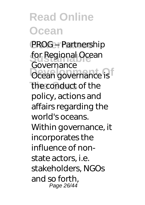#### **Read Online Ocean** PROG – Partnership for Regional Ocean **Development Ocean governance is The Seas** the conduct of the Governance policy, actions and affairs regarding the world's oceans. Within governance, it incorporates the influence of nonstate actors, i.e. stakeholders, NGOs and so forth, Page 26/44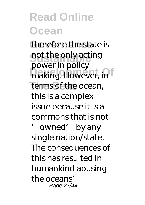therefore the state is not the only acting making. However, in terms of the ocean, power in policy this is a complex issue because it is a commons that is not owned' by any single nation/state. The consequences of this has resulted in humankind abusing

the oceans' Page 27/44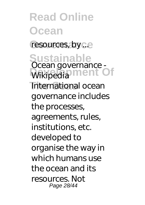**Read Online Ocean** resources, by c.e. **Sustainable Wikipedia Ment Of** International ocean Ocean governance - Wikipedia governance includes the processes, agreements, rules, institutions, etc. developed to organise the way in which humans use the ocean and its resources. Not Page 28/44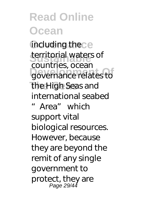**Including thece territorial waters of** governance relates to **The Seas** the High Seas and countries, ocean international seabed

"Area" which support vital biological resources. However, because they are beyond the remit of any single government to protect, they are Page 29/44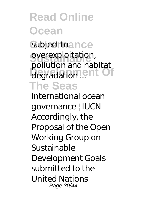**subject toance** overexploitation, **degradation ...** Df **The Seas** pollution and habitat

International ocean governance | IUCN Accordingly, the Proposal of the Open Working Group on **Sustainable** Development Goals submitted to the United Nations Page 30/44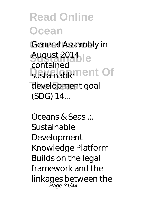#### **Read Online Ocean** General Assembly in **Sustainable** August 2014 **Bustainable** ment Of **The Seas** development goal contained (SDG) 14...

Oceans & Seas .:. **Sustainable** Development Knowledge Platform Builds on the legal framework and the linkages between the Page 31/44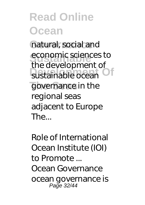#### **Read Online Ocean Governance** natural, social and economic sciences to sustainable ocean<sup>Of</sup> governance in the the development of regional seas adjacent to Europe The...

Role of International Ocean Institute (IOI) to Promote ... Ocean Governance ocean governance is Page 32/44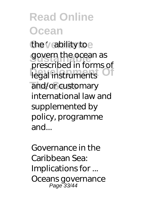#### **Read Online Ocean** the **v** cability to e govern the ocean as **Developments The Seas** and/or customary prescribed in forms of international law and supplemented by policy, programme and...

Governance in the Caribbean Sea: Implications for ... Oceans governance Page 33/44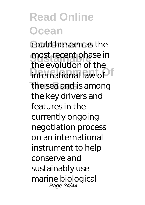could be seen as the most recent phase in **International law of The Seas** the sea and is among the evolution of the the key drivers and features in the currently ongoing negotiation process on an international instrument to help conserve and sustainably use marine biological Page 34/44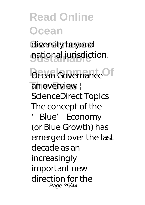diversity beyond **Sustainable** national jurisdiction.

**Ocean Governance** an overview | ScienceDirect Topics The concept of the Blue' Economy (or Blue Growth) has emerged over the last decade as an increasingly important new direction for the Page 35/44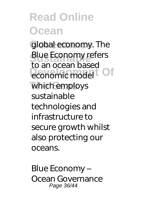global economy. The **Blue Economy refers** economic model<sup>t</sup> Of which employs to an ocean based sustainable technologies and infrastructure to secure growth whilst also protecting our oceans.

Blue Economy – Ocean Governance Page 36/44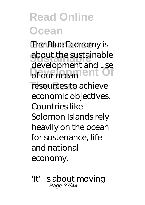**The Blue Economy is Sustainable** about the sustainable **Defour oceanient Of** resources to achieve development and use economic objectives. Countries like Solomon Islands rely heavily on the ocean for sustenance, life and national economy.

'It's about moving Page 37/44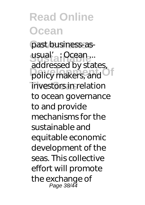#### **Read Online Ocean** past business-asusual'<sub>a</sub>: Ocean ... policy makers, and **The Seas** investors in relation addressed by states, to ocean governance to and provide mechanisms for the sustainable and equitable economic development of the seas. This collective effort will promote the exchange of Page 38/44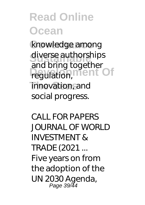knowledge among diverse authorships **Pregulation, Ment Of The Seas** innovation, and and bring together social progress.

CALL FOR PAPERS JOURNAL OF WORLD INVESTMENT & TRADE (2021 ... Five years on from the adoption of the UN 2030 Agenda, Page 39/44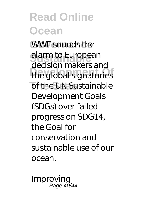WWF sounds the alarm to European **Development Of** the global signatories of the UN Sustainable decision makers and Development Goals (SDGs) over failed progress on SDG14, the Goal for conservation and sustainable use of our ocean.

Improving Page 40/44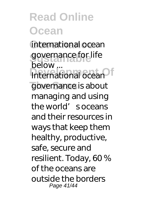international ocean governance for life **International ocean** governance is about below ... managing and using the world's oceans and their resources in ways that keep them healthy, productive, safe, secure and resilient. Today, 60 % of the oceans are outside the borders Page 41/44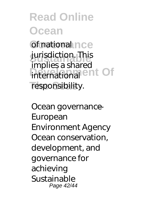**of national nce** jurisdiction. This **International** ent Of **The Seas** responsibility. implies a shared

Ocean governance European Environment Agency Ocean conservation, development, and governance for achieving **Sustainable** Page 42/44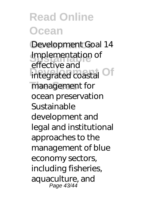Development Goal 14 **Implementation of DEPARTMENT OF The Seas** management for effective and ocean preservation **Sustainable** development and legal and institutional approaches to the management of blue economy sectors, including fisheries, aquaculture, and Page 43/44